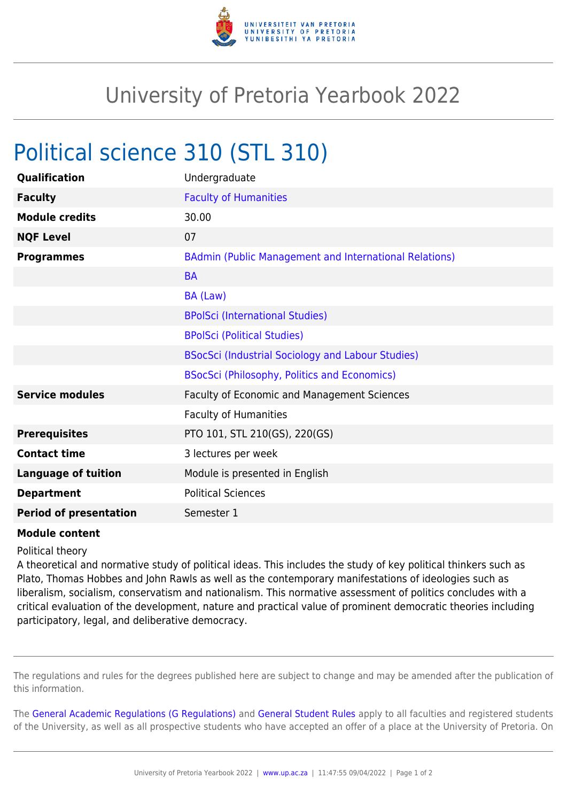

## University of Pretoria Yearbook 2022

## Political science 310 (STL 310)

| Qualification                 | Undergraduate                                                 |
|-------------------------------|---------------------------------------------------------------|
| <b>Faculty</b>                | <b>Faculty of Humanities</b>                                  |
| <b>Module credits</b>         | 30.00                                                         |
| <b>NQF Level</b>              | 07                                                            |
| <b>Programmes</b>             | <b>BAdmin (Public Management and International Relations)</b> |
|                               | <b>BA</b>                                                     |
|                               | BA (Law)                                                      |
|                               | <b>BPolSci (International Studies)</b>                        |
|                               | <b>BPolSci (Political Studies)</b>                            |
|                               | BSocSci (Industrial Sociology and Labour Studies)             |
|                               | <b>BSocSci (Philosophy, Politics and Economics)</b>           |
| <b>Service modules</b>        | Faculty of Economic and Management Sciences                   |
|                               | <b>Faculty of Humanities</b>                                  |
| <b>Prerequisites</b>          | PTO 101, STL 210(GS), 220(GS)                                 |
| <b>Contact time</b>           | 3 lectures per week                                           |
| <b>Language of tuition</b>    | Module is presented in English                                |
| <b>Department</b>             | <b>Political Sciences</b>                                     |
| <b>Period of presentation</b> | Semester 1                                                    |

## **Module content**

## Political theory

A theoretical and normative study of political ideas. This includes the study of key political thinkers such as Plato, Thomas Hobbes and John Rawls as well as the contemporary manifestations of ideologies such as liberalism, socialism, conservatism and nationalism. This normative assessment of politics concludes with a critical evaluation of the development, nature and practical value of prominent democratic theories including participatory, legal, and deliberative democracy.

The regulations and rules for the degrees published here are subject to change and may be amended after the publication of this information.

The [General Academic Regulations \(G Regulations\)](https://www.up.ac.za/faculty-of-education/yearbooks/2022/rules/view/REG) and [General Student Rules](https://www.up.ac.za/faculty-of-education/yearbooks/2022/rules/view/RUL) apply to all faculties and registered students of the University, as well as all prospective students who have accepted an offer of a place at the University of Pretoria. On